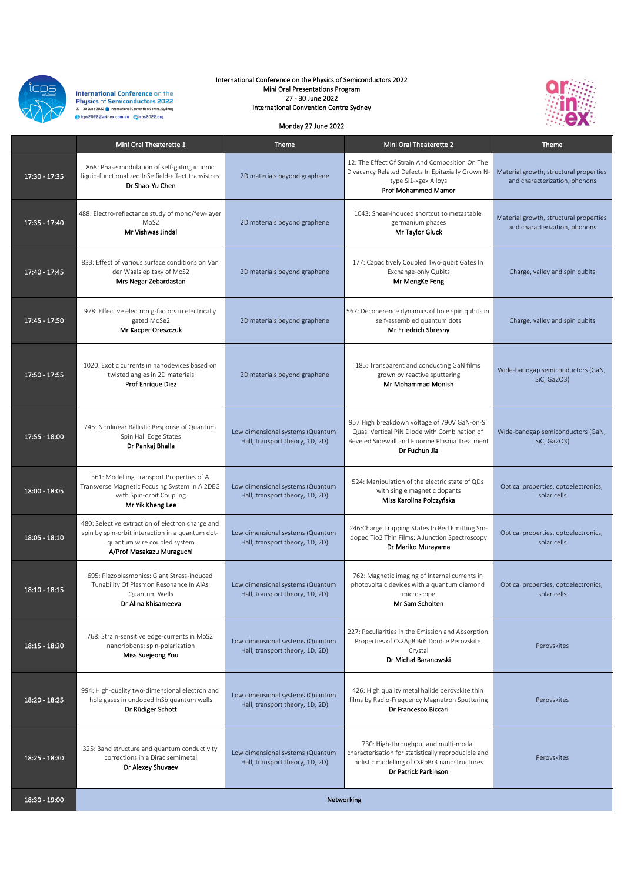

**International Conference on the Physics of Semiconductors 2022** –<br>27 – 30 June 2022 ● International Convention Centre, Sydney @icps2022@arinex.com.au @icps2022.org

|                 | Mini Oral Theaterette 1                                                                                                 | <b>Theme</b>                                                        | Mini Oral Theaterette 2                                                                                                                                          | <b>Theme</b>                                                            |
|-----------------|-------------------------------------------------------------------------------------------------------------------------|---------------------------------------------------------------------|------------------------------------------------------------------------------------------------------------------------------------------------------------------|-------------------------------------------------------------------------|
| $17:30 - 17:35$ | 868: Phase modulation of self-gating in ionic<br>liquid-functionalized InSe field-effect transistors<br>Dr Shao-Yu Chen | 2D materials beyond graphene                                        | 12: The Effect Of Strain And Composition On The<br>Divacancy Related Defects In Epitaxially Grown N-<br>type Si1-xgex Alloys<br><b>Prof Mohammed Mamor</b>       | Material growth, structural properties<br>and characterization, phonons |
| $17:35 - 17:40$ | 488: Electro-reflectance study of mono/few-layer<br>MoS <sub>2</sub><br>Mr Vishwas Jindal                               | 2D materials beyond graphene                                        | 1043: Shear-induced shortcut to metastable<br>germanium phases<br>Mr Taylor Gluck                                                                                | Material growth, structural properties<br>and characterization, phonons |
| $17:40 - 17:45$ | 833: Effect of various surface conditions on Van<br>der Waals epitaxy of MoS2<br>Mrs Negar Zebardastan                  | 2D materials beyond graphene                                        | 177: Capacitively Coupled Two-qubit Gates In<br>Exchange-only Qubits<br>Mr MengKe Feng                                                                           | Charge, valley and spin qubits                                          |
| $17:45 - 17:50$ | 978: Effective electron g-factors in electrically<br>gated MoSe2<br>Mr Kacper Oreszczuk                                 | 2D materials beyond graphene                                        | 567: Decoherence dynamics of hole spin qubits in<br>self-assembled quantum dots<br>Mr Friedrich Sbresny                                                          | Charge, valley and spin qubits                                          |
| $17:50 - 17:55$ | 1020: Exotic currents in nanodevices based on<br>twisted angles in 2D materials<br><b>Prof Enrique Diez</b>             | 2D materials beyond graphene                                        | 185: Transparent and conducting GaN films<br>grown by reactive sputtering<br>Mr Mohammad Monish                                                                  | Wide-bandgap semiconductors (GaN,<br>SiC, Ga2O3)                        |
| $17:55 - 18:00$ | 745: Nonlinear Ballistic Response of Quantum<br>Spin Hall Edge States<br>Dr Pankaj Bhalla                               | Low dimensional systems (Quantum<br>Hall, transport theory, 1D, 2D) | 957: High breakdown voltage of 790V GaN-on-Si<br>Quasi Vertical PiN Diode with Combination of<br>Beveled Sidewall and Fluorine Plasma Treatment<br>Dr Fuchun Jia | Wide-bandgap semiconductors (GaN,<br>SiC, Ga2O3)                        |

| $\overline{18:00}$ - $\overline{18:05}$ | 361: Modelling Transport Properties of A<br>Transverse Magnetic Focusing System In A 2DEG<br>with Spin-orbit Coupling<br>Mr Yik Kheng Lee                        | Low dimensional systems (Quantum<br>Hall, transport theory, 1D, 2D) | 524: Manipulation of the electric state of QDs<br>with single magnetic dopants<br>Miss Karolina Połczyńska                                                          | Optical properties, optoelectronics,<br>solar cells |
|-----------------------------------------|------------------------------------------------------------------------------------------------------------------------------------------------------------------|---------------------------------------------------------------------|---------------------------------------------------------------------------------------------------------------------------------------------------------------------|-----------------------------------------------------|
| $18:05 - 18:10$                         | 480: Selective extraction of electron charge and<br>spin by spin-orbit interaction in a quantum dot-<br>quantum wire coupled system<br>A/Prof Masakazu Muraguchi | Low dimensional systems (Quantum<br>Hall, transport theory, 1D, 2D) | 246: Charge Trapping States In Red Emitting Sm-<br>doped Tio2 Thin Films: A Junction Spectroscopy<br>Dr Mariko Murayama                                             | Optical properties, optoelectronics,<br>solar cells |
| $18:10 - 18:15$                         | 695: Piezoplasmonics: Giant Stress-induced<br>Tunability Of Plasmon Resonance In AlAs<br>Quantum Wells<br>Dr Alina Khisameeva                                    | Low dimensional systems (Quantum<br>Hall, transport theory, 1D, 2D) | 762: Magnetic imaging of internal currents in<br>photovoltaic devices with a quantum diamond<br>microscope<br>Mr Sam Scholten                                       | Optical properties, optoelectronics,<br>solar cells |
| $18:15 - 18:20$                         | 768: Strain-sensitive edge-currents in MoS2<br>nanoribbons: spin-polarization<br>Miss Suejeong You                                                               | Low dimensional systems (Quantum<br>Hall, transport theory, 1D, 2D) | 227: Peculiarities in the Emission and Absorption<br>Properties of Cs2AgBiBr6 Double Perovskite<br>Crystal<br>Dr Michał Baranowski                                  | Perovskites                                         |
| $18:20 - 18:25$                         | 994: High-quality two-dimensional electron and<br>hole gases in undoped InSb quantum wells<br>Dr Rüdiger Schott                                                  | Low dimensional systems (Quantum<br>Hall, transport theory, 1D, 2D) | 426: High quality metal halide perovskite thin<br>films by Radio-Frequency Magnetron Sputtering<br>Dr Francesco Biccari                                             | Perovskites                                         |
| $18:25 - 18:30$                         | 325: Band structure and quantum conductivity<br>corrections in a Dirac semimetal<br>Dr Alexey Shuvaev                                                            | Low dimensional systems (Quantum<br>Hall, transport theory, 1D, 2D) | 730: High-throughput and multi-modal<br>characterisation for statistically reproducible and<br>holistic modelling of CsPbBr3 nanostructures<br>Dr Patrick Parkinson | Perovskites                                         |
| $18:30 - 19:00$                         | <b>Networking</b>                                                                                                                                                |                                                                     |                                                                                                                                                                     |                                                     |

International Conference on the Physics of Semiconductors 2022 Mini Oral Presentations Program 27 - 30 June 2022 International Convention Centre Sydney

## Monday 27 June 2022